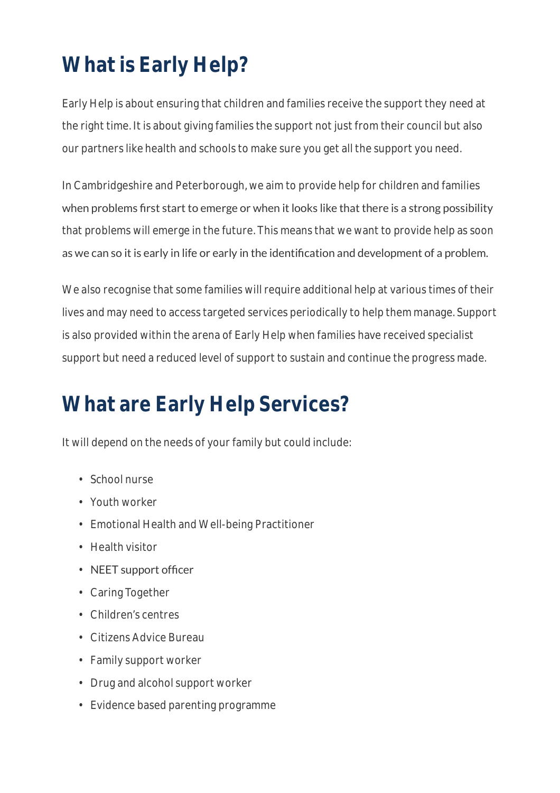# **What is Early Help?**

Early Help is about ensuring that children and families receive the support they need at the right time. It is about giving families the support not just from their council but also our partners like health and schools to make sure you get all the support you need.

In Cambridgeshire and Peterborough, we aim to provide help for children and families when problems first start to emerge or when it looks like that there is a strong possibility that problems will emerge in the future. This means that we want to provide help as soon as we can so it is early in life or early in the identification and development of a problem.

We also recognise that some families will require additional help at various times of their lives and may need to access targeted services periodically to help them manage. Support is also provided within the arena of Early Help when families have received specialist support but need a reduced level of support to sustain and continue the progress made.

# **What are Early Help Services?**

It will depend on the needs of your family but could include:

- School nurse
- Youth worker
- Emotional Health and Well-being Practitioner
- Health visitor
- NEET support officer
- Caring Together
- Children's centres
- Citizens Advice Bureau
- Family support worker
- Drug and alcohol support worker
- Evidence based parenting programme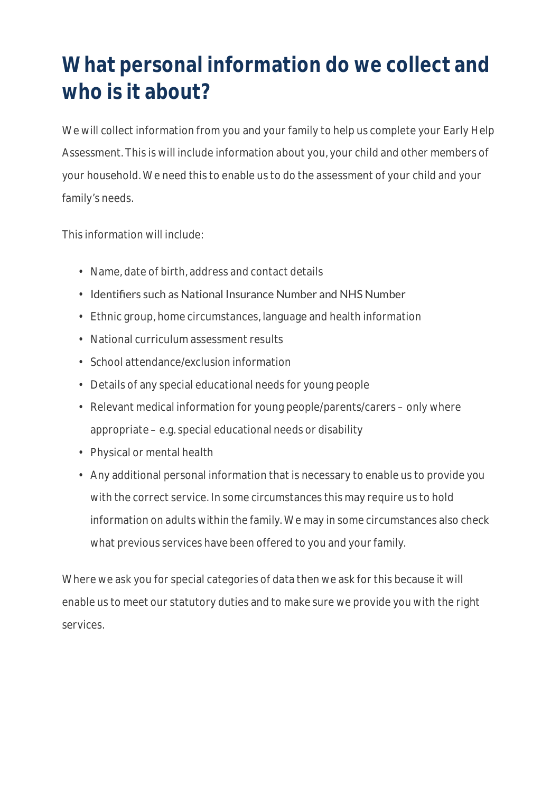## **What personal information do we collect and who is it about?**

We will collect information from you and your family to help us complete your Early Help Assessment. This is will include information about you, your child and other members of your household. We need this to enable us to do the assessment of your child and your family's needs.

This information will include:

- Name, date of birth, address and contact details
- Identifiers such as National Insurance Number and NHS Number
- Ethnic group, home circumstances, language and health information
- National curriculum assessment results
- School attendance/exclusion information
- Details of any special educational needs for young people
- Relevant medical information for young people/parents/carers only where appropriate – e.g. special educational needs or disability
- Physical or mental health
- Any additional personal information that is necessary to enable us to provide you with the correct service. In some circumstances this may require us to hold information on adults within the family. We may in some circumstances also check what previous services have been offered to you and your family.

Where we ask you for special categories of data then we ask for this because it will enable us to meet our statutory duties and to make sure we provide you with the right services.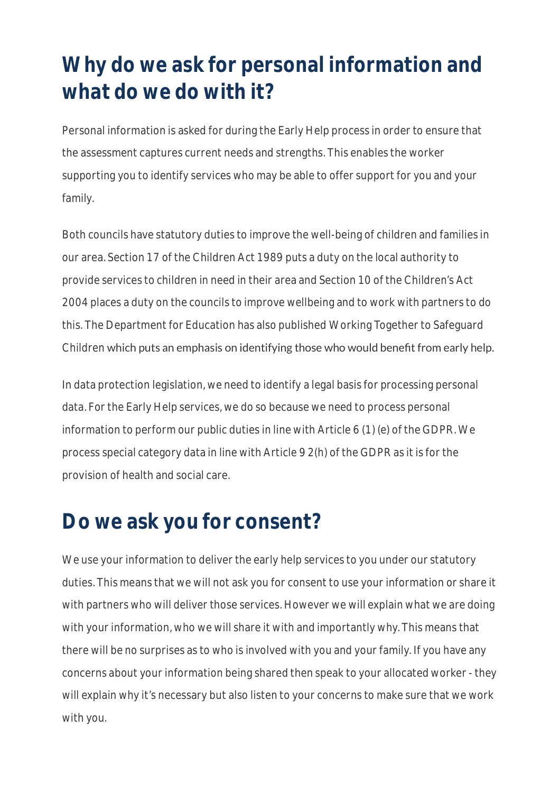## **Why do we ask for personal information and what do we do with it?**

Personal information is asked for during the Early Help process in order to ensure that the assessment captures current needs and strengths. This enables the worker supporting you to identify services who may be able to offer support for you and your family.

Both councils have statutory duties to improve the well-being of children and families in our area. Section 17 of the Children Act 1989 puts a duty on the local authority to provide services to children in need in their area and Section 10 of the Children's Act 2004 places a duty on the councils to improve wellbeing and to work with partners to do this. The Department for Education has also published Working Together to Safeguard Children which puts an emphasis on identifying those who would benefit from early help.

In data protection legislation, we need to identify a legal basis for processing personal data. For the Early Help services, we do so because we need to process personal information to perform our public duties in line with Article 6 (1) (e) of the GDPR. We process special category data in line with Article 9 2(h) of the GDPR as it is for the provision of health and social care.

#### **Do we ask you for consent?**

We use your information to deliver the early help services to you under our statutory duties. This means that we will not ask you for consent to use your information or share it with partners who will deliver those services. However we will explain what we are doing with your information, who we will share it with and importantly why. This means that there will be no surprises as to who is involved with you and your family. If you have any concerns about your information being shared then speak to your allocated worker - they will explain why it's necessary but also listen to your concerns to make sure that we work with you.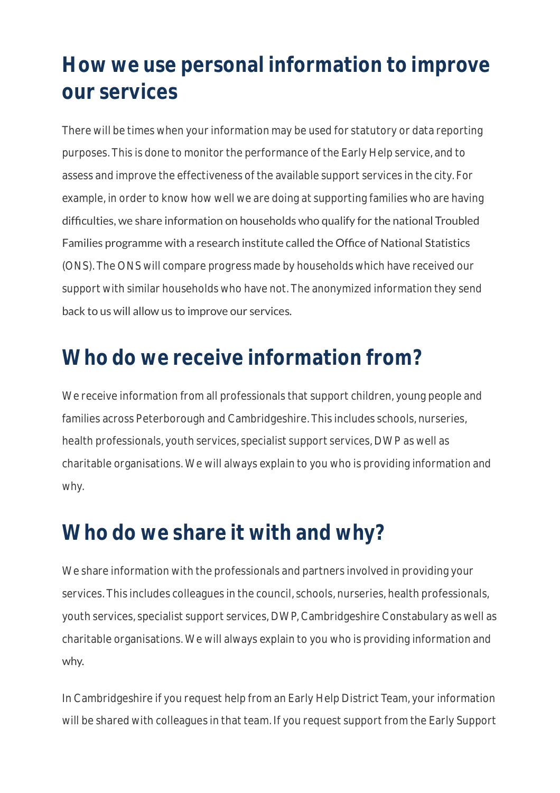### **How we use personal information to improve our services**

There will be times when your information may be used for statutory or data reporting purposes. This is done to monitor the performance of the Early Help service, and to assess and improve the effectiveness of the available support services in the city. For example, in order to know how well we are doing at supporting families who are having difficulties, we share information on households who qualify for the national Troubled Families programme with a research institute called the Office of National Statistics (ONS). The ONS will compare progress made by households which have received our support with similar households who have not. The anonymized information they send back to us will allow us to improve our services.

#### **Who do we receive information from?**

We receive information from all professionals that support children, young people and families across Peterborough and Cambridgeshire. This includes schools, nurseries, health professionals, youth services, specialist support services, DWP as well as charitable organisations. We will always explain to you who is providing information and why.

#### **Who do we share it with and why?**

We share information with the professionals and partners involved in providing your services. This includes colleagues in the council, schools, nurseries, health professionals, youth services, specialist support services, DWP, Cambridgeshire Constabulary as well as charitable organisations. We will always explain to you who is providing information and why.

In Cambridgeshire if you request help from an Early Help District Team, your information will be shared with colleagues in that team. If you request support from the Early Support